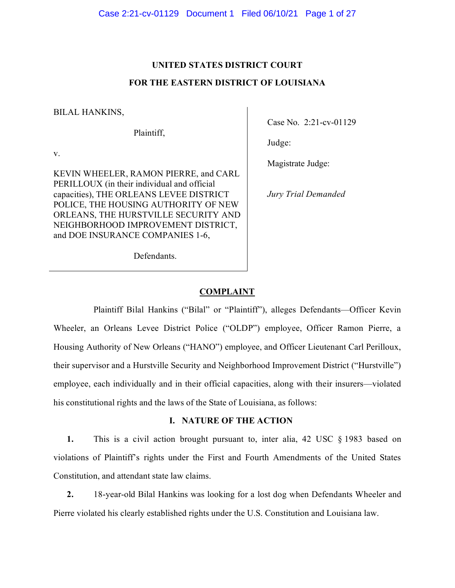# **UNITED STATES DISTRICT COURT FOR THE EASTERN DISTRICT OF LOUISIANA**

BILAL HANKINS,

Plaintiff,

v.

KEVIN WHEELER, RAMON PIERRE, and CARL PERILLOUX (in their individual and official capacities), THE ORLEANS LEVEE DISTRICT POLICE, THE HOUSING AUTHORITY OF NEW ORLEANS, THE HURSTVILLE SECURITY AND NEIGHBORHOOD IMPROVEMENT DISTRICT, and DOE INSURANCE COMPANIES 1-6,

Case No. 2:21-cv-01129

Judge:

Magistrate Judge:

*Jury Trial Demanded* 

Defendants.

# **COMPLAINT**

Plaintiff Bilal Hankins ("Bilal" or "Plaintiff"), alleges Defendants—Officer Kevin Wheeler, an Orleans Levee District Police ("OLDP") employee, Officer Ramon Pierre, a Housing Authority of New Orleans ("HANO") employee, and Officer Lieutenant Carl Perilloux, their supervisor and a Hurstville Security and Neighborhood Improvement District ("Hurstville") employee, each individually and in their official capacities, along with their insurers—violated his constitutional rights and the laws of the State of Louisiana, as follows:

# **I. NATURE OF THE ACTION**

**1.** This is a civil action brought pursuant to, inter alia, 42 USC § 1983 based on violations of Plaintiff's rights under the First and Fourth Amendments of the United States Constitution, and attendant state law claims.

**2.** 18-year-old Bilal Hankins was looking for a lost dog when Defendants Wheeler and Pierre violated his clearly established rights under the U.S. Constitution and Louisiana law.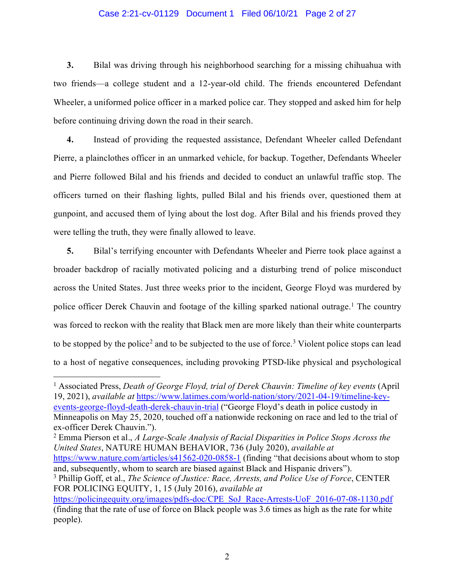#### Case 2:21-cv-01129 Document 1 Filed 06/10/21 Page 2 of 27

**3.** Bilal was driving through his neighborhood searching for a missing chihuahua with two friends—a college student and a 12-year-old child. The friends encountered Defendant Wheeler, a uniformed police officer in a marked police car. They stopped and asked him for help before continuing driving down the road in their search.

**4.** Instead of providing the requested assistance, Defendant Wheeler called Defendant Pierre, a plainclothes officer in an unmarked vehicle, for backup. Together, Defendants Wheeler and Pierre followed Bilal and his friends and decided to conduct an unlawful traffic stop. The officers turned on their flashing lights, pulled Bilal and his friends over, questioned them at gunpoint, and accused them of lying about the lost dog. After Bilal and his friends proved they were telling the truth, they were finally allowed to leave.

**5.** Bilal's terrifying encounter with Defendants Wheeler and Pierre took place against a broader backdrop of racially motivated policing and a disturbing trend of police misconduct across the United States. Just three weeks prior to the incident, George Floyd was murdered by police officer Derek Chauvin and footage of the killing sparked national outrage. [1](#page-17-0) The country was forced to reckon with the reality that Black men are more likely than their white counterparts to be stopped by the police<sup>[2](#page-17-0)</sup> and to be subjected to the use of force.<sup>[3](#page-17-0)</sup> Violent police stops can lead to a host of negative consequences, including provoking PTSD-like physical and psychological

<sup>1</sup> Associated Press, *Death of George Floyd, trial of Derek Chauvin: Timeline of key events* (April 19, 2021), *available at* [https://www.latimes.com/world-nation/story/2021-04-19/timeline-key](https://www.latimes.com/world-nation/story/2021-04-19/timeline-key-events-george-floyd-death-derek-chauvin-trial)[events-george-floyd-death-derek-chauvin-trial](https://www.latimes.com/world-nation/story/2021-04-19/timeline-key-events-george-floyd-death-derek-chauvin-trial) ("George Floyd's death in police custody in Minneapolis on May 25, 2020, touched off a nationwide reckoning on race and led to the trial of ex-officer Derek Chauvin.").

<sup>2</sup> Emma Pierson et al., *A Large-Scale Analysis of Racial Disparities in Police Stops Across the United States*, NATURE HUMAN BEHAVIOR, 736 (July 2020), *available at* 

<https://www.nature.com/articles/s41562-020-0858-1> (finding "that decisions about whom to stop and, subsequently, whom to search are biased against Black and Hispanic drivers").

<sup>3</sup> Phillip Goff, et al., *The Science of Justice: Race, Arrests, and Police Use of Force*, CENTER FOR POLICING EQUITY, 1, 15 (July 2016), *available at* 

[https://policingequity.org/images/pdfs-doc/CPE\\_SoJ\\_Race-Arrests-UoF\\_2016-07-08-1130.pdf](https://policingequity.org/images/pdfs-doc/CPE_SoJ_Race-Arrests-UoF_2016-07-08-1130.pdf) (finding that the rate of use of force on Black people was 3.6 times as high as the rate for white people).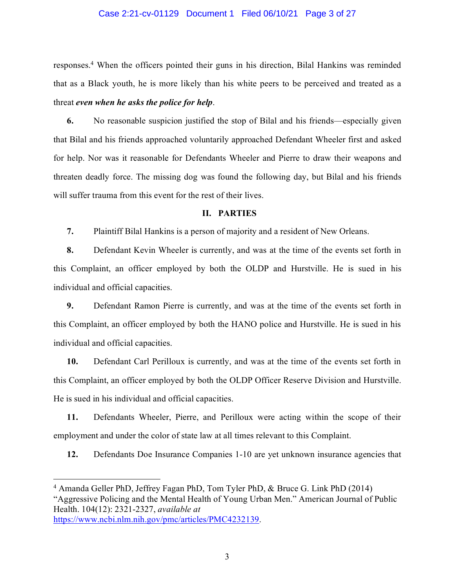#### Case 2:21-cv-01129 Document 1 Filed 06/10/21 Page 3 of 27

responses. [4](#page-17-0) When the officers pointed their guns in his direction, Bilal Hankins was reminded that as a Black youth, he is more likely than his white peers to be perceived and treated as a threat *even when he asks the police for help*.

**6.** No reasonable suspicion justified the stop of Bilal and his friends—especially given that Bilal and his friends approached voluntarily approached Defendant Wheeler first and asked for help. Nor was it reasonable for Defendants Wheeler and Pierre to draw their weapons and threaten deadly force. The missing dog was found the following day, but Bilal and his friends will suffer trauma from this event for the rest of their lives.

### **II. PARTIES**

**7.** Plaintiff Bilal Hankins is a person of majority and a resident of New Orleans.

**8.** Defendant Kevin Wheeler is currently, and was at the time of the events set forth in this Complaint, an officer employed by both the OLDP and Hurstville. He is sued in his individual and official capacities.

**9.** Defendant Ramon Pierre is currently, and was at the time of the events set forth in this Complaint, an officer employed by both the HANO police and Hurstville. He is sued in his individual and official capacities.

**10.** Defendant Carl Perilloux is currently, and was at the time of the events set forth in this Complaint, an officer employed by both the OLDP Officer Reserve Division and Hurstville. He is sued in his individual and official capacities.

**11.** Defendants Wheeler, Pierre, and Perilloux were acting within the scope of their employment and under the color of state law at all times relevant to this Complaint.

**12.** Defendants Doe Insurance Companies 1-10 are yet unknown insurance agencies that

<sup>4</sup> Amanda Geller PhD, Jeffrey Fagan PhD, Tom Tyler PhD, & Bruce G. Link PhD (2014) "Aggressive Policing and the Mental Health of Young Urban Men." American Journal of Public Health. 104(12): 2321-2327, *available at*  [https://www.ncbi.nlm.nih.gov/pmc/articles/PMC4232139.](https://www.ncbi.nlm.nih.gov/pmc/articles/PMC4232139)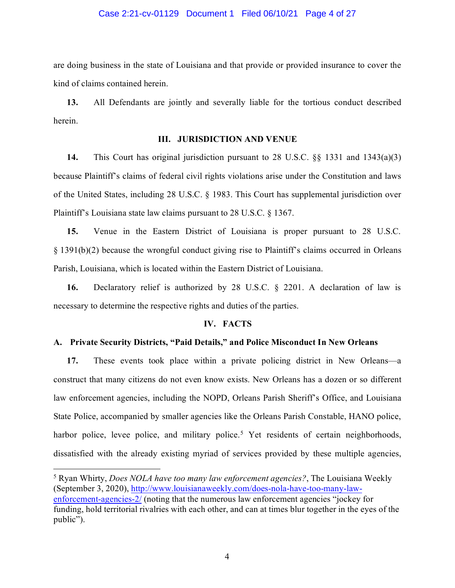#### Case 2:21-cv-01129 Document 1 Filed 06/10/21 Page 4 of 27

are doing business in the state of Louisiana and that provide or provided insurance to cover the kind of claims contained herein.

**13.** All Defendants are jointly and severally liable for the tortious conduct described herein.

#### **III. JURISDICTION AND VENUE**

**14.** This Court has original jurisdiction pursuant to 28 U.S.C. §§ 1331 and 1343(a)(3) because Plaintiff's claims of federal civil rights violations arise under the Constitution and laws of the United States, including 28 U.S.C. § 1983. This Court has supplemental jurisdiction over Plaintiff's Louisiana state law claims pursuant to 28 U.S.C. § 1367.

**15.** Venue in the Eastern District of Louisiana is proper pursuant to 28 U.S.C. § 1391(b)(2) because the wrongful conduct giving rise to Plaintiff's claims occurred in Orleans Parish, Louisiana, which is located within the Eastern District of Louisiana.

**16.** Declaratory relief is authorized by 28 U.S.C. § 2201. A declaration of law is necessary to determine the respective rights and duties of the parties.

#### **IV. FACTS**

#### **A. Private Security Districts, "Paid Details," and Police Misconduct In New Orleans**

**17.** These events took place within a private policing district in New Orleans—a construct that many citizens do not even know exists. New Orleans has a dozen or so different law enforcement agencies, including the NOPD, Orleans Parish Sheriff's Office, and Louisiana State Police, accompanied by smaller agencies like the Orleans Parish Constable, HANO police, harbor police, levee police, and military police.<sup>[5](#page-17-0)</sup> Yet residents of certain neighborhoods, dissatisfied with the already existing myriad of services provided by these multiple agencies,

<sup>5</sup> Ryan Whirty, *Does NOLA have too many law enforcement agencies?*, The Louisiana Weekly (September 3, 2020), [http://www.louisianaweekly.com/does-nola-have-too-many-law](http://www.louisianaweekly.com/does-nola-have-too-many-law-enforcement-agencies-2/)[enforcement-agencies-2/](http://www.louisianaweekly.com/does-nola-have-too-many-law-enforcement-agencies-2/) (noting that the numerous law enforcement agencies "jockey for funding, hold territorial rivalries with each other, and can at times blur together in the eyes of the public").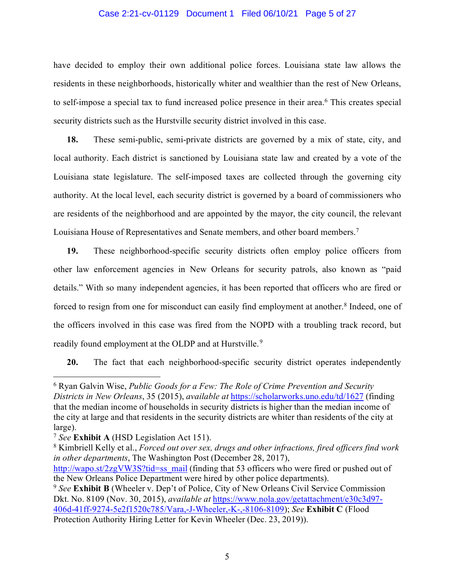#### Case 2:21-cv-01129 Document 1 Filed 06/10/21 Page 5 of 27

have decided to employ their own additional police forces. Louisiana state law allows the residents in these neighborhoods, historically whiter and wealthier than the rest of New Orleans, to self-impose a special tax to fund increased police presence in their area. [6](#page-17-0) This creates special security districts such as the Hurstville security district involved in this case.

**18.** These semi-public, semi-private districts are governed by a mix of state, city, and local authority. Each district is sanctioned by Louisiana state law and created by a vote of the Louisiana state legislature. The self-imposed taxes are collected through the governing city authority. At the local level, each security district is governed by a board of commissioners who are residents of the neighborhood and are appointed by the mayor, the city council, the relevant Louisiana House of Representatives and Senate members, and other board members.<sup>[7](#page-17-0)</sup>

**19.** These neighborhood-specific security districts often employ police officers from other law enforcement agencies in New Orleans for security patrols, also known as "paid details." With so many independent agencies, it has been reported that officers who are fired or forced to resign from one for misconduct can easily find employment at another. [8](#page-17-0) Indeed, one of the officers involved in this case was fired from the NOPD with a troubling track record, but readily found employment at the OLDP and at Hurstville. [9](#page-17-0)

**20.** The fact that each neighborhood-specific security district operates independently

<sup>6</sup> Ryan Galvin Wise, *Public Goods for a Few: The Role of Crime Prevention and Security Districts in New Orleans*, 35 (2015), *available at* [https://scholarworks.uno.edu/td/1627](https://scholarworks.uno.edu/td/1627?utm_source=scholarworks.uno.edu%2Ftd%2F1627&utm_medium=PDF&utm_campaign=PDFCoverPages) (finding that the median income of households in security districts is higher than the median income of the city at large and that residents in the security districts are whiter than residents of the city at large).

<sup>7</sup> *See* **Exhibit A** (HSD Legislation Act 151).

<sup>8</sup> Kimbriell Kelly et al., *Forced out over sex, drugs and other infractions, fired officers find work in other departments*, The Washington Post (December 28, 2017),

[http://wapo.st/2zgVW3S?tid=ss\\_mail](http://wapo.st/2zgVW3S?tid=ss_mail) (finding that 53 officers who were fired or pushed out of the New Orleans Police Department were hired by other police departments).

<sup>9</sup> *See* **Exhibit B** (Wheeler v. Dep't of Police, City of New Orleans Civil Service Commission Dkt. No. 8109 (Nov. 30, 2015), *available at* [https://www.nola.gov/getattachment/e30c3d97-](https://www.nola.gov/getattachment/e30c3d97-406d-41ff-9274-5e2f1520c785/Vara,-J-Wheeler,-K-,-8106-8109) [406d-41ff-9274-5e2f1520c785/Vara,-J-Wheeler,-K-,-8106-8109\)](https://www.nola.gov/getattachment/e30c3d97-406d-41ff-9274-5e2f1520c785/Vara,-J-Wheeler,-K-,-8106-8109); *See* **Exhibit C** (Flood Protection Authority Hiring Letter for Kevin Wheeler (Dec. 23, 2019)).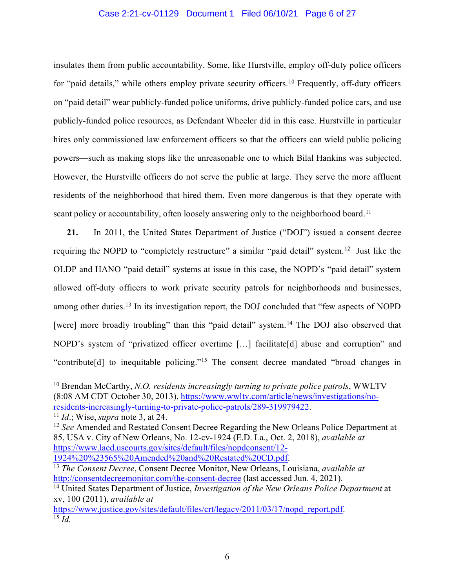# Case 2:21-cv-01129 Document 1 Filed 06/10/21 Page 6 of 27

insulates them from public accountability. Some, like Hurstville, employ off-duty police officers for "paid details," while others employ private security officers.<sup>[10](#page-17-0)</sup> Frequently, off-duty officers on "paid detail" wear publicly-funded police uniforms, drive publicly-funded police cars, and use publicly-funded police resources, as Defendant Wheeler did in this case. Hurstville in particular hires only commissioned law enforcement officers so that the officers can wield public policing powers—such as making stops like the unreasonable one to which Bilal Hankins was subjected. However, the Hurstville officers do not serve the public at large. They serve the more affluent residents of the neighborhood that hired them. Even more dangerous is that they operate with scant policy or accountability, often loosely answering only to the neighborhood board.<sup>[11](#page-17-0)</sup>

**21.** In 2011, the United States Department of Justice ("DOJ") issued a consent decree requiring the NOPD to "completely restructure" a similar "paid detail" system.<sup>[12](#page-17-0)</sup> Just like the OLDP and HANO "paid detail" systems at issue in this case, the NOPD's "paid detail" system allowed off-duty officers to work private security patrols for neighborhoods and businesses, among other duties.<sup>[13](#page-17-0)</sup> In its investigation report, the DOJ concluded that "few aspects of NOPD [were] more broadly troubling" than this "paid detail" system.<sup>[14](#page-17-0)</sup> The DOJ also observed that NOPD's system of "privatized officer overtime […] facilitate[d] abuse and corruption" and "contribute[d] to inequitable policing."[15](#page-17-0) The consent decree mandated "broad changes in

<sup>10</sup> Brendan McCarthy, *N.O. residents increasingly turning to private police patrols*, WWLTV (8:08 AM CDT October 30, 2013), [https://www.wwltv.com/article/news/investigations/no](https://www.wwltv.com/article/news/investigations/no-residents-increasingly-turning-to-private-police-patrols/289-319979422)[residents-increasingly-turning-to-private-police-patrols/289-319979422.](https://www.wwltv.com/article/news/investigations/no-residents-increasingly-turning-to-private-police-patrols/289-319979422)<br><sup>11</sup> *Id.*; Wise, *supra* note 3, at 24.

<sup>12</sup> *See* Amended and Restated Consent Decree Regarding the New Orleans Police Department at 85, USA v. City of New Orleans, No. 12-cv-1924 (E.D. La., Oct. 2, 2018), *available at*  [https://www.laed.uscourts.gov/sites/default/files/nopdconsent/12-](https://www.laed.uscourts.gov/sites/default/files/nopdconsent/12-1924%20%23565%20Amended%20and%20Restated%20CD.pdf)

[1924%20%23565%20Amended%20and%20Restated%20CD.pdf.](https://www.laed.uscourts.gov/sites/default/files/nopdconsent/12-1924%20%23565%20Amended%20and%20Restated%20CD.pdf) 13 *The Consent Decree*, Consent Decree Monitor, New Orleans, Louisiana, *available at*  <http://consentdecreemonitor.com/the-consent-decree> (last accessed Jun. 4, 2021).

<sup>&</sup>lt;sup>14</sup> United States Department of Justice, *Investigation* of the New Orleans Police Department at xv, 100 (2011), *available at* 

[https://www.justice.gov/sites/default/files/crt/legacy/2011/03/17/nopd\\_report.pdf.](https://www.justice.gov/sites/default/files/crt/legacy/2011/03/17/nopd_report.pdf) <sup>15</sup> *Id.*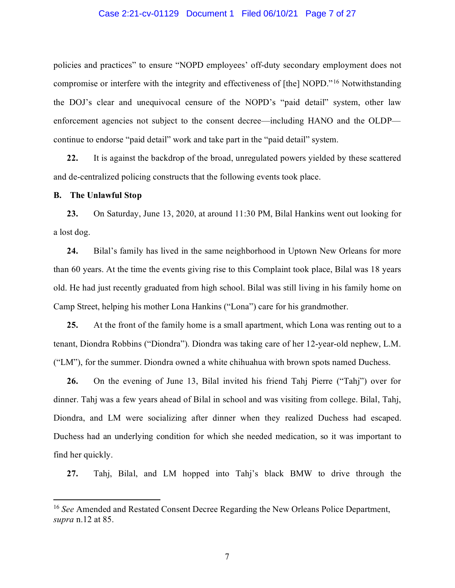#### Case 2:21-cv-01129 Document 1 Filed 06/10/21 Page 7 of 27

policies and practices" to ensure "NOPD employees' off-duty secondary employment does not compromise or interfere with the integrity and effectiveness of [the] NOPD."[16](#page-17-0) Notwithstanding the DOJ's clear and unequivocal censure of the NOPD's "paid detail" system, other law enforcement agencies not subject to the consent decree—including HANO and the OLDP continue to endorse "paid detail" work and take part in the "paid detail" system.

**22.** It is against the backdrop of the broad, unregulated powers yielded by these scattered and de-centralized policing constructs that the following events took place.

#### **B. The Unlawful Stop**

**23.** On Saturday, June 13, 2020, at around 11:30 PM, Bilal Hankins went out looking for a lost dog.

**24.** Bilal's family has lived in the same neighborhood in Uptown New Orleans for more than 60 years. At the time the events giving rise to this Complaint took place, Bilal was 18 years old. He had just recently graduated from high school. Bilal was still living in his family home on Camp Street, helping his mother Lona Hankins ("Lona") care for his grandmother.

**25.** At the front of the family home is a small apartment, which Lona was renting out to a tenant, Diondra Robbins ("Diondra"). Diondra was taking care of her 12-year-old nephew, L.M. ("LM"), for the summer. Diondra owned a white chihuahua with brown spots named Duchess.

**26.** On the evening of June 13, Bilal invited his friend Tahj Pierre ("Tahj") over for dinner. Tahj was a few years ahead of Bilal in school and was visiting from college. Bilal, Tahj, Diondra, and LM were socializing after dinner when they realized Duchess had escaped. Duchess had an underlying condition for which she needed medication, so it was important to find her quickly.

**27.** Tahj, Bilal, and LM hopped into Tahj's black BMW to drive through the

<sup>16</sup> *See* Amended and Restated Consent Decree Regarding the New Orleans Police Department, *supra* n.12 at 85.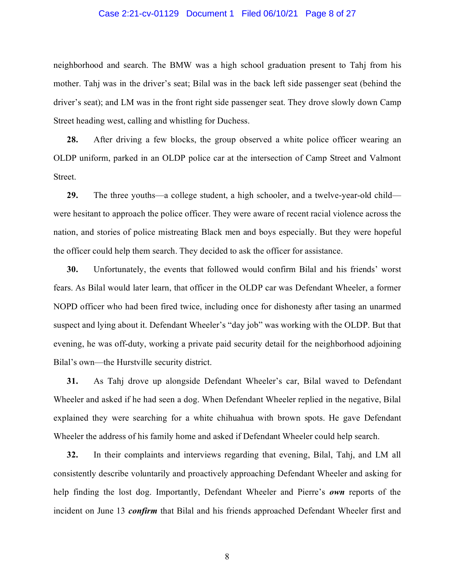#### Case 2:21-cv-01129 Document 1 Filed 06/10/21 Page 8 of 27

neighborhood and search. The BMW was a high school graduation present to Tahj from his mother. Tahj was in the driver's seat; Bilal was in the back left side passenger seat (behind the driver's seat); and LM was in the front right side passenger seat. They drove slowly down Camp Street heading west, calling and whistling for Duchess.

**28.** After driving a few blocks, the group observed a white police officer wearing an OLDP uniform, parked in an OLDP police car at the intersection of Camp Street and Valmont Street.

**29.** The three youths—a college student, a high schooler, and a twelve-year-old child were hesitant to approach the police officer. They were aware of recent racial violence across the nation, and stories of police mistreating Black men and boys especially. But they were hopeful the officer could help them search. They decided to ask the officer for assistance.

**30.** Unfortunately, the events that followed would confirm Bilal and his friends' worst fears. As Bilal would later learn, that officer in the OLDP car was Defendant Wheeler, a former NOPD officer who had been fired twice, including once for dishonesty after tasing an unarmed suspect and lying about it. Defendant Wheeler's "day job" was working with the OLDP. But that evening, he was off-duty, working a private paid security detail for the neighborhood adjoining Bilal's own—the Hurstville security district.

**31.** As Tahj drove up alongside Defendant Wheeler's car, Bilal waved to Defendant Wheeler and asked if he had seen a dog. When Defendant Wheeler replied in the negative, Bilal explained they were searching for a white chihuahua with brown spots. He gave Defendant Wheeler the address of his family home and asked if Defendant Wheeler could help search.

**32.** In their complaints and interviews regarding that evening, Bilal, Tahj, and LM all consistently describe voluntarily and proactively approaching Defendant Wheeler and asking for help finding the lost dog. Importantly, Defendant Wheeler and Pierre's *own* reports of the incident on June 13 *confirm* that Bilal and his friends approached Defendant Wheeler first and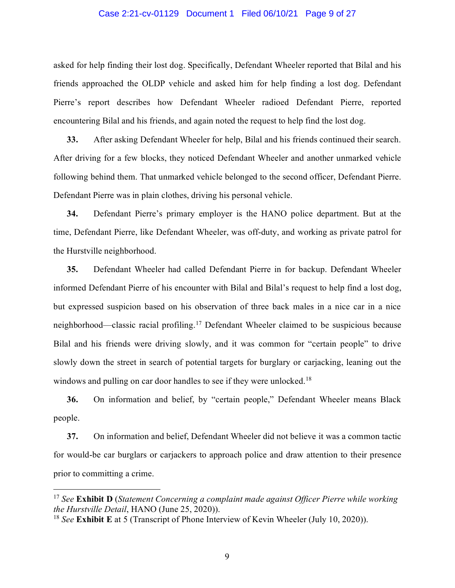#### Case 2:21-cv-01129 Document 1 Filed 06/10/21 Page 9 of 27

asked for help finding their lost dog. Specifically, Defendant Wheeler reported that Bilal and his friends approached the OLDP vehicle and asked him for help finding a lost dog. Defendant Pierre's report describes how Defendant Wheeler radioed Defendant Pierre, reported encountering Bilal and his friends, and again noted the request to help find the lost dog.

**33.** After asking Defendant Wheeler for help, Bilal and his friends continued their search. After driving for a few blocks, they noticed Defendant Wheeler and another unmarked vehicle following behind them. That unmarked vehicle belonged to the second officer, Defendant Pierre. Defendant Pierre was in plain clothes, driving his personal vehicle.

**34.** Defendant Pierre's primary employer is the HANO police department. But at the time, Defendant Pierre, like Defendant Wheeler, was off-duty, and working as private patrol for the Hurstville neighborhood.

**35.** Defendant Wheeler had called Defendant Pierre in for backup. Defendant Wheeler informed Defendant Pierre of his encounter with Bilal and Bilal's request to help find a lost dog, but expressed suspicion based on his observation of three back males in a nice car in a nice neighborhood—classic racial profiling.[17](#page-17-0) Defendant Wheeler claimed to be suspicious because Bilal and his friends were driving slowly, and it was common for "certain people" to drive slowly down the street in search of potential targets for burglary or carjacking, leaning out the windows and pulling on car door handles to see if they were unlocked.<sup>[18](#page-17-0)</sup>

**36.** On information and belief, by "certain people," Defendant Wheeler means Black people.

**37.** On information and belief, Defendant Wheeler did not believe it was a common tactic for would-be car burglars or carjackers to approach police and draw attention to their presence prior to committing a crime.

<sup>17</sup> *See* **Exhibit D** (*Statement Concerning a complaint made against Officer Pierre while working the Hurstville Detail*, HANO (June 25, 2020)).

<sup>18</sup> *See* **Exhibit E** at 5 (Transcript of Phone Interview of Kevin Wheeler (July 10, 2020)).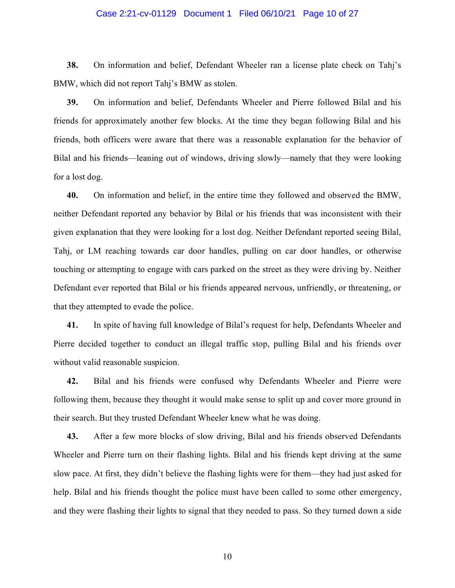#### Case 2:21-cv-01129 Document 1 Filed 06/10/21 Page 10 of 27

**38.** On information and belief, Defendant Wheeler ran a license plate check on Tahj's BMW, which did not report Tahj's BMW as stolen.

**39.** On information and belief, Defendants Wheeler and Pierre followed Bilal and his friends for approximately another few blocks. At the time they began following Bilal and his friends, both officers were aware that there was a reasonable explanation for the behavior of Bilal and his friends—leaning out of windows, driving slowly—namely that they were looking for a lost dog.

**40.** On information and belief, in the entire time they followed and observed the BMW, neither Defendant reported any behavior by Bilal or his friends that was inconsistent with their given explanation that they were looking for a lost dog. Neither Defendant reported seeing Bilal, Tahj, or LM reaching towards car door handles, pulling on car door handles, or otherwise touching or attempting to engage with cars parked on the street as they were driving by. Neither Defendant ever reported that Bilal or his friends appeared nervous, unfriendly, or threatening, or that they attempted to evade the police.

**41.** In spite of having full knowledge of Bilal's request for help, Defendants Wheeler and Pierre decided together to conduct an illegal traffic stop, pulling Bilal and his friends over without valid reasonable suspicion.

**42.** Bilal and his friends were confused why Defendants Wheeler and Pierre were following them, because they thought it would make sense to split up and cover more ground in their search. But they trusted Defendant Wheeler knew what he was doing.

**43.** After a few more blocks of slow driving, Bilal and his friends observed Defendants Wheeler and Pierre turn on their flashing lights. Bilal and his friends kept driving at the same slow pace. At first, they didn't believe the flashing lights were for them—they had just asked for help. Bilal and his friends thought the police must have been called to some other emergency, and they were flashing their lights to signal that they needed to pass. So they turned down a side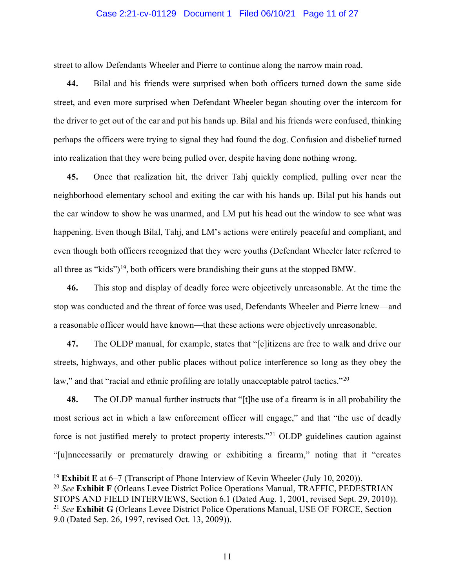#### Case 2:21-cv-01129 Document 1 Filed 06/10/21 Page 11 of 27

street to allow Defendants Wheeler and Pierre to continue along the narrow main road.

**44.** Bilal and his friends were surprised when both officers turned down the same side street, and even more surprised when Defendant Wheeler began shouting over the intercom for the driver to get out of the car and put his hands up. Bilal and his friends were confused, thinking perhaps the officers were trying to signal they had found the dog. Confusion and disbelief turned into realization that they were being pulled over, despite having done nothing wrong.

**45.** Once that realization hit, the driver Tahj quickly complied, pulling over near the neighborhood elementary school and exiting the car with his hands up. Bilal put his hands out the car window to show he was unarmed, and LM put his head out the window to see what was happening. Even though Bilal, Tahj, and LM's actions were entirely peaceful and compliant, and even though both officers recognized that they were youths (Defendant Wheeler later referred to all three as "kids")<sup>19</sup>, both officers were brandishing their guns at the stopped BMW.

**46.** This stop and display of deadly force were objectively unreasonable. At the time the stop was conducted and the threat of force was used, Defendants Wheeler and Pierre knew—and a reasonable officer would have known—that these actions were objectively unreasonable.

**47.** The OLDP manual, for example, states that "[c]itizens are free to walk and drive our streets, highways, and other public places without police interference so long as they obey the law," and that "racial and ethnic profiling are totally unacceptable patrol tactics."<sup>[20](#page-17-0)</sup>

**48.** The OLDP manual further instructs that "[t]he use of a firearm is in all probability the most serious act in which a law enforcement officer will engage," and that "the use of deadly force is not justified merely to protect property interests."[21](#page-17-0) OLDP guidelines caution against "[u]nnecessarily or prematurely drawing or exhibiting a firearm," noting that it "creates

<sup>19</sup> **Exhibit E** at 6–7 (Transcript of Phone Interview of Kevin Wheeler (July 10, 2020)).

<sup>20</sup> *See* **Exhibit F** (Orleans Levee District Police Operations Manual, TRAFFIC, PEDESTRIAN STOPS AND FIELD INTERVIEWS, Section 6.1 (Dated Aug. 1, 2001, revised Sept. 29, 2010)). <sup>21</sup> *See* **Exhibit G** (Orleans Levee District Police Operations Manual, USE OF FORCE, Section 9.0 (Dated Sep. 26, 1997, revised Oct. 13, 2009)).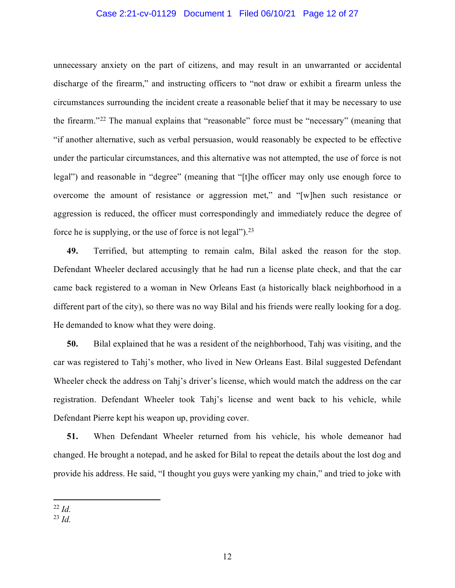#### Case 2:21-cv-01129 Document 1 Filed 06/10/21 Page 12 of 27

unnecessary anxiety on the part of citizens, and may result in an unwarranted or accidental discharge of the firearm," and instructing officers to "not draw or exhibit a firearm unless the circumstances surrounding the incident create a reasonable belief that it may be necessary to use the firearm."[22](#page-17-0) The manual explains that "reasonable" force must be "necessary" (meaning that "if another alternative, such as verbal persuasion, would reasonably be expected to be effective under the particular circumstances, and this alternative was not attempted, the use of force is not legal") and reasonable in "degree" (meaning that "[t]he officer may only use enough force to overcome the amount of resistance or aggression met," and "[w]hen such resistance or aggression is reduced, the officer must correspondingly and immediately reduce the degree of force he is supplying, or the use of force is not legal").[23](#page-17-0)

**49.** Terrified, but attempting to remain calm, Bilal asked the reason for the stop. Defendant Wheeler declared accusingly that he had run a license plate check, and that the car came back registered to a woman in New Orleans East (a historically black neighborhood in a different part of the city), so there was no way Bilal and his friends were really looking for a dog. He demanded to know what they were doing.

**50.** Bilal explained that he was a resident of the neighborhood, Tahj was visiting, and the car was registered to Tahj's mother, who lived in New Orleans East. Bilal suggested Defendant Wheeler check the address on Tahj's driver's license, which would match the address on the car registration. Defendant Wheeler took Tahj's license and went back to his vehicle, while Defendant Pierre kept his weapon up, providing cover.

**51.** When Defendant Wheeler returned from his vehicle, his whole demeanor had changed. He brought a notepad, and he asked for Bilal to repeat the details about the lost dog and provide his address. He said, "I thought you guys were yanking my chain," and tried to joke with

<sup>22</sup> *Id.*

 $^{23}$  *Id.*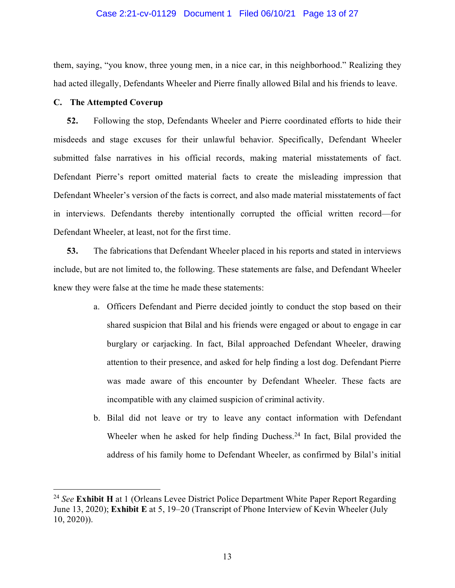#### Case 2:21-cv-01129 Document 1 Filed 06/10/21 Page 13 of 27

them, saying, "you know, three young men, in a nice car, in this neighborhood." Realizing they had acted illegally, Defendants Wheeler and Pierre finally allowed Bilal and his friends to leave.

#### **C. The Attempted Coverup**

**52.** Following the stop, Defendants Wheeler and Pierre coordinated efforts to hide their misdeeds and stage excuses for their unlawful behavior. Specifically, Defendant Wheeler submitted false narratives in his official records, making material misstatements of fact. Defendant Pierre's report omitted material facts to create the misleading impression that Defendant Wheeler's version of the facts is correct, and also made material misstatements of fact in interviews. Defendants thereby intentionally corrupted the official written record—for Defendant Wheeler, at least, not for the first time.

**53.** The fabrications that Defendant Wheeler placed in his reports and stated in interviews include, but are not limited to, the following. These statements are false, and Defendant Wheeler knew they were false at the time he made these statements:

- a. Officers Defendant and Pierre decided jointly to conduct the stop based on their shared suspicion that Bilal and his friends were engaged or about to engage in car burglary or carjacking. In fact, Bilal approached Defendant Wheeler, drawing attention to their presence, and asked for help finding a lost dog. Defendant Pierre was made aware of this encounter by Defendant Wheeler. These facts are incompatible with any claimed suspicion of criminal activity.
- b. Bilal did not leave or try to leave any contact information with Defendant Wheeler when he asked for help finding Duchess.<sup>24</sup> In fact, Bilal provided the address of his family home to Defendant Wheeler, as confirmed by Bilal's initial

<sup>24</sup> *See* **Exhibit H** at 1 (Orleans Levee District Police Department White Paper Report Regarding June 13, 2020); **Exhibit E** at 5, 19–20 (Transcript of Phone Interview of Kevin Wheeler (July 10, 2020)).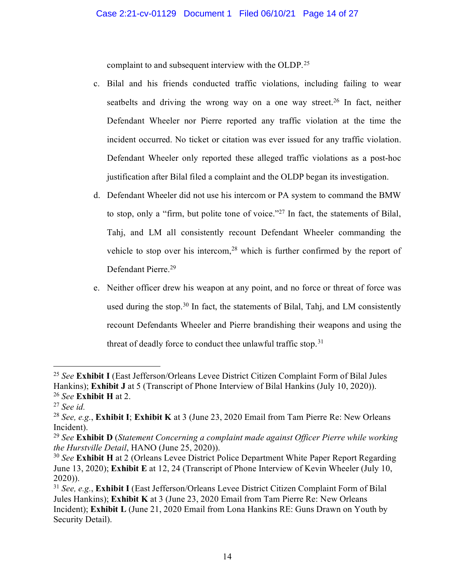complaint to and subsequent interview with the OLDP.<sup>[25](#page-17-0)</sup>

- c. Bilal and his friends conducted traffic violations, including failing to wear seatbelts and driving the wrong way on a one way street.<sup>[26](#page-17-0)</sup> In fact, neither Defendant Wheeler nor Pierre reported any traffic violation at the time the incident occurred. No ticket or citation was ever issued for any traffic violation. Defendant Wheeler only reported these alleged traffic violations as a post-hoc justification after Bilal filed a complaint and the OLDP began its investigation.
- d. Defendant Wheeler did not use his intercom or PA system to command the BMW to stop, only a "firm, but polite tone of voice.["27](#page-17-0) In fact, the statements of Bilal, Tahj, and LM all consistently recount Defendant Wheeler commanding the vehicle to stop over his intercom,<sup>[28](#page-17-0)</sup> which is further confirmed by the report of Defendant Pierre. [29](#page-17-0)
- e. Neither officer drew his weapon at any point, and no force or threat of force was used during the stop.<sup>[30](#page-17-0)</sup> In fact, the statements of Bilal, Tahj, and LM consistently recount Defendants Wheeler and Pierre brandishing their weapons and using the threat of deadly force to conduct thee unlawful traffic stop.<sup>[31](#page-17-0)</sup>

<sup>25</sup> *See* **Exhibit I** (East Jefferson/Orleans Levee District Citizen Complaint Form of Bilal Jules Hankins); **Exhibit J** at 5 (Transcript of Phone Interview of Bilal Hankins (July 10, 2020)). 26 *See* **Exhibit H** at 2.

<sup>27</sup> *See id.* 

<sup>28</sup> *See, e.g.*, **Exhibit I**; **Exhibit K** at 3 (June 23, 2020 Email from Tam Pierre Re: New Orleans Incident).

<sup>29</sup> *See* **Exhibit D** (*Statement Concerning a complaint made against Officer Pierre while working the Hurstville Detail*, HANO (June 25, 2020)).

<sup>&</sup>lt;sup>30</sup> See **Exhibit H** at 2 (Orleans Levee District Police Department White Paper Report Regarding June 13, 2020); **Exhibit E** at 12, 24 (Transcript of Phone Interview of Kevin Wheeler (July 10, 2020)).

<sup>31</sup> *See, e.g.*, **Exhibit I** (East Jefferson/Orleans Levee District Citizen Complaint Form of Bilal Jules Hankins); **Exhibit K** at 3 (June 23, 2020 Email from Tam Pierre Re: New Orleans Incident); **Exhibit L** (June 21, 2020 Email from Lona Hankins RE: Guns Drawn on Youth by Security Detail).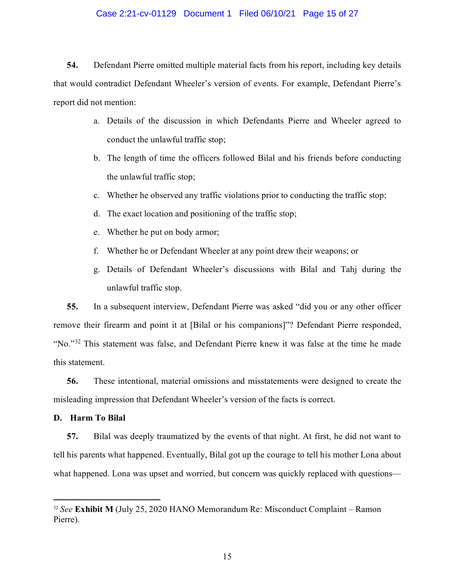#### Case 2:21-cv-01129 Document 1 Filed 06/10/21 Page 15 of 27

**54.** Defendant Pierre omitted multiple material facts from his report, including key details that would contradict Defendant Wheeler's version of events. For example, Defendant Pierre's report did not mention:

- a. Details of the discussion in which Defendants Pierre and Wheeler agreed to conduct the unlawful traffic stop;
- b. The length of time the officers followed Bilal and his friends before conducting the unlawful traffic stop;
- c. Whether he observed any traffic violations prior to conducting the traffic stop;
- d. The exact location and positioning of the traffic stop;
- e. Whether he put on body armor;
- f. Whether he or Defendant Wheeler at any point drew their weapons; or
- g. Details of Defendant Wheeler's discussions with Bilal and Tahj during the unlawful traffic stop.

**55.** In a subsequent interview, Defendant Pierre was asked "did you or any other officer remove their firearm and point it at [Bilal or his companions]"? Defendant Pierre responded, "No."[32](#page-17-0) This statement was false, and Defendant Pierre knew it was false at the time he made this statement.

**56.** These intentional, material omissions and misstatements were designed to create the misleading impression that Defendant Wheeler's version of the facts is correct.

#### **D. Harm To Bilal**

**57.** Bilal was deeply traumatized by the events of that night. At first, he did not want to tell his parents what happened. Eventually, Bilal got up the courage to tell his mother Lona about what happened. Lona was upset and worried, but concern was quickly replaced with questions—

<sup>32</sup> *See* **Exhibit M** (July 25, 2020 HANO Memorandum Re: Misconduct Complaint – Ramon Pierre).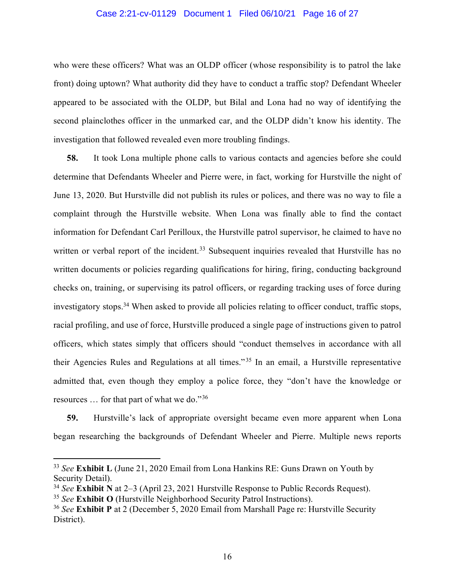#### Case 2:21-cv-01129 Document 1 Filed 06/10/21 Page 16 of 27

who were these officers? What was an OLDP officer (whose responsibility is to patrol the lake front) doing uptown? What authority did they have to conduct a traffic stop? Defendant Wheeler appeared to be associated with the OLDP, but Bilal and Lona had no way of identifying the second plainclothes officer in the unmarked car, and the OLDP didn't know his identity. The investigation that followed revealed even more troubling findings.

**58.** It took Lona multiple phone calls to various contacts and agencies before she could determine that Defendants Wheeler and Pierre were, in fact, working for Hurstville the night of June 13, 2020. But Hurstville did not publish its rules or polices, and there was no way to file a complaint through the Hurstville website. When Lona was finally able to find the contact information for Defendant Carl Perilloux, the Hurstville patrol supervisor, he claimed to have no written or verbal report of the incident.<sup>[33](#page-17-0)</sup> Subsequent inquiries revealed that Hurstville has no written documents or policies regarding qualifications for hiring, firing, conducting background checks on, training, or supervising its patrol officers, or regarding tracking uses of force during investigatory stops.<sup>[34](#page-17-0)</sup> When asked to provide all policies relating to officer conduct, traffic stops, racial profiling, and use of force, Hurstville produced a single page of instructions given to patrol officers, which states simply that officers should "conduct themselves in accordance with all their Agencies Rules and Regulations at all times." [35](#page-17-0) In an email, a Hurstville representative admitted that, even though they employ a police force, they "don't have the knowledge or resources … for that part of what we do."[36](#page-17-0)

**59.** Hurstville's lack of appropriate oversight became even more apparent when Lona began researching the backgrounds of Defendant Wheeler and Pierre. Multiple news reports

<sup>33</sup> *See* **Exhibit L** (June 21, 2020 Email from Lona Hankins RE: Guns Drawn on Youth by Security Detail).

<sup>34</sup> *See* **Exhibit N** at 2–3 (April 23, 2021 Hurstville Response to Public Records Request).

<sup>35</sup> *See* **Exhibit O** (Hurstville Neighborhood Security Patrol Instructions).

<sup>36</sup> *See* **Exhibit P** at 2 (December 5, 2020 Email from Marshall Page re: Hurstville Security District).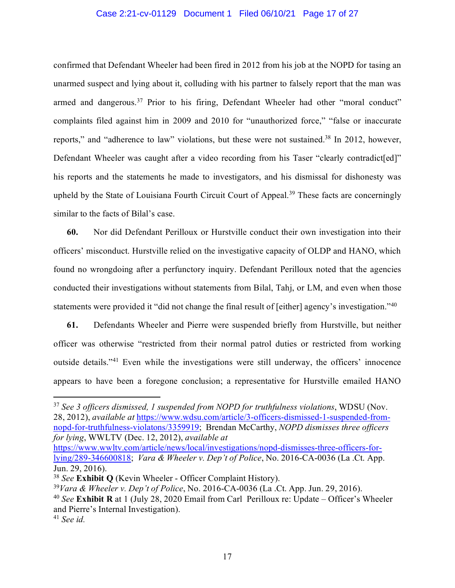#### Case 2:21-cv-01129 Document 1 Filed 06/10/21 Page 17 of 27

confirmed that Defendant Wheeler had been fired in 2012 from his job at the NOPD for tasing an unarmed suspect and lying about it, colluding with his partner to falsely report that the man was armed and dangerous.<sup>[37](#page-17-0)</sup> Prior to his firing, Defendant Wheeler had other "moral conduct" complaints filed against him in 2009 and 2010 for "unauthorized force," "false or inaccurate reports," and "adherence to law" violations, but these were not sustained.<sup>[38](#page-17-0)</sup> In 2012, however, Defendant Wheeler was caught after a video recording from his Taser "clearly contradict[ed]" his reports and the statements he made to investigators, and his dismissal for dishonesty was upheld by the State of Louisiana Fourth Circuit Court of Appeal.<sup>[39](#page-17-0)</sup> These facts are concerningly similar to the facts of Bilal's case.

**60.** Nor did Defendant Perilloux or Hurstville conduct their own investigation into their officers' misconduct. Hurstville relied on the investigative capacity of OLDP and HANO, which found no wrongdoing after a perfunctory inquiry. Defendant Perilloux noted that the agencies conducted their investigations without statements from Bilal, Tahj, or LM, and even when those statements were provided it "did not change the final result of [either] agency's investigation."[40](#page-17-0)

**61.** Defendants Wheeler and Pierre were suspended briefly from Hurstville, but neither officer was otherwise "restricted from their normal patrol duties or restricted from working outside details."[41](#page-17-0) Even while the investigations were still underway, the officers' innocence appears to have been a foregone conclusion; a representative for Hurstville emailed HANO

<sup>37</sup> *See 3 officers dismissed, 1 suspended from NOPD for truthfulness violations*, WDSU (Nov. 28, 2012), *available at* [https://www.wdsu.com/article/3-officers-dismissed-1-suspended-from](https://www.wdsu.com/article/3-officers-dismissed-1-suspended-from-nopd-for-truthfulness-violatons/3359919)[nopd-for-truthfulness-violatons/3359919;](https://www.wdsu.com/article/3-officers-dismissed-1-suspended-from-nopd-for-truthfulness-violatons/3359919) Brendan McCarthy, *NOPD dismisses three officers for lying*, WWLTV (Dec. 12, 2012), *available at*

[https://www.wwltv.com/article/news/local/investigations/nopd-dismisses-three-officers-for](https://www.wwltv.com/article/news/local/investigations/nopd-dismisses-three-officers-for-lying/289-346600818)[lying/289-346600818;](https://www.wwltv.com/article/news/local/investigations/nopd-dismisses-three-officers-for-lying/289-346600818) *Vara & Wheeler v. Dep't of Police*, No. 2016-CA-0036 (La .Ct. App. Jun. 29, 2016).

<sup>38</sup> *See* **Exhibit Q** (Kevin Wheeler - Officer Complaint History).

<sup>39</sup>*Vara & Wheeler v. Dep't of Police*, No. 2016-CA-0036 (La .Ct. App. Jun. 29, 2016).

<sup>40</sup> *See* **Exhibit R** at 1 (July 28, 2020 Email from Carl Perilloux re: Update – Officer's Wheeler and Pierre's Internal Investigation).

<sup>41</sup> *See id.*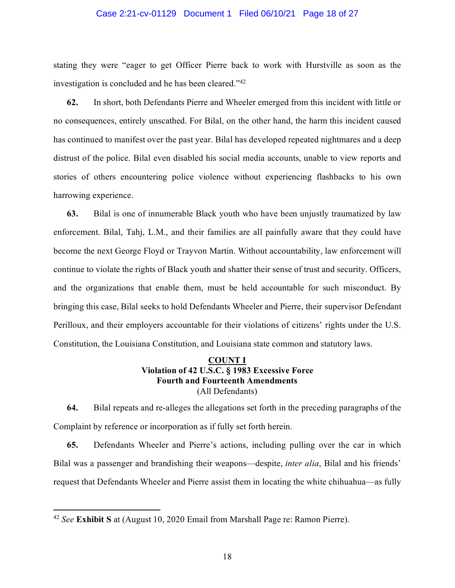#### Case 2:21-cv-01129 Document 1 Filed 06/10/21 Page 18 of 27

stating they were "eager to get Officer Pierre back to work with Hurstville as soon as the investigation is concluded and he has been cleared."[42](#page-17-0)

**62.** In short, both Defendants Pierre and Wheeler emerged from this incident with little or no consequences, entirely unscathed. For Bilal, on the other hand, the harm this incident caused has continued to manifest over the past year. Bilal has developed repeated nightmares and a deep distrust of the police. Bilal even disabled his social media accounts, unable to view reports and stories of others encountering police violence without experiencing flashbacks to his own harrowing experience.

**63.** Bilal is one of innumerable Black youth who have been unjustly traumatized by law enforcement. Bilal, Tahj, L.M., and their families are all painfully aware that they could have become the next George Floyd or Trayvon Martin. Without accountability, law enforcement will continue to violate the rights of Black youth and shatter their sense of trust and security. Officers, and the organizations that enable them, must be held accountable for such misconduct. By bringing this case, Bilal seeks to hold Defendants Wheeler and Pierre, their supervisor Defendant Perilloux, and their employers accountable for their violations of citizens' rights under the U.S. Constitution, the Louisiana Constitution, and Louisiana state common and statutory laws.

# **COUNT I Violation of 42 U.S.C. § 1983 Excessive Force Fourth and Fourteenth Amendments** (All Defendants)

**64.** Bilal repeats and re-alleges the allegations set forth in the preceding paragraphs of the Complaint by reference or incorporation as if fully set forth herein.

**65.** Defendants Wheeler and Pierre's actions, including pulling over the car in which Bilal was a passenger and brandishing their weapons—despite, *inter alia*, Bilal and his friends' request that Defendants Wheeler and Pierre assist them in locating the white chihuahua—as fully

<span id="page-17-0"></span><sup>42</sup> *See* **Exhibit S** at (August 10, 2020 Email from Marshall Page re: Ramon Pierre).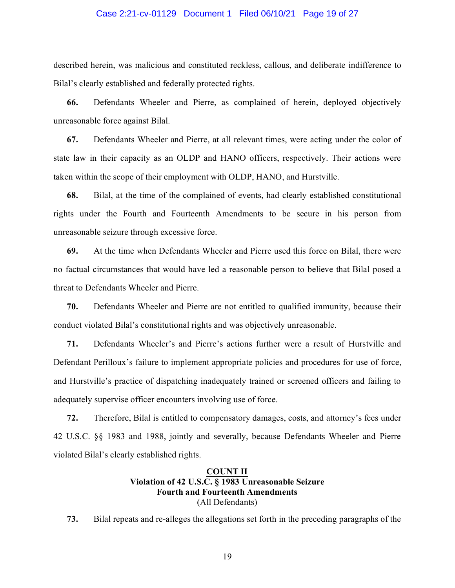#### Case 2:21-cv-01129 Document 1 Filed 06/10/21 Page 19 of 27

described herein, was malicious and constituted reckless, callous, and deliberate indifference to Bilal's clearly established and federally protected rights.

**66.** Defendants Wheeler and Pierre, as complained of herein, deployed objectively unreasonable force against Bilal.

**67.** Defendants Wheeler and Pierre, at all relevant times, were acting under the color of state law in their capacity as an OLDP and HANO officers, respectively. Their actions were taken within the scope of their employment with OLDP, HANO, and Hurstville.

**68.** Bilal, at the time of the complained of events, had clearly established constitutional rights under the Fourth and Fourteenth Amendments to be secure in his person from unreasonable seizure through excessive force.

**69.** At the time when Defendants Wheeler and Pierre used this force on Bilal, there were no factual circumstances that would have led a reasonable person to believe that Bilal posed a threat to Defendants Wheeler and Pierre.

**70.** Defendants Wheeler and Pierre are not entitled to qualified immunity, because their conduct violated Bilal's constitutional rights and was objectively unreasonable.

**71.** Defendants Wheeler's and Pierre's actions further were a result of Hurstville and Defendant Perilloux's failure to implement appropriate policies and procedures for use of force, and Hurstville's practice of dispatching inadequately trained or screened officers and failing to adequately supervise officer encounters involving use of force.

**72.** Therefore, Bilal is entitled to compensatory damages, costs, and attorney's fees under 42 U.S.C. §§ 1983 and 1988, jointly and severally, because Defendants Wheeler and Pierre violated Bilal's clearly established rights.

# **COUNT II Violation of 42 U.S.C. § 1983 Unreasonable Seizure Fourth and Fourteenth Amendments** (All Defendants)

**73.** Bilal repeats and re-alleges the allegations set forth in the preceding paragraphs of the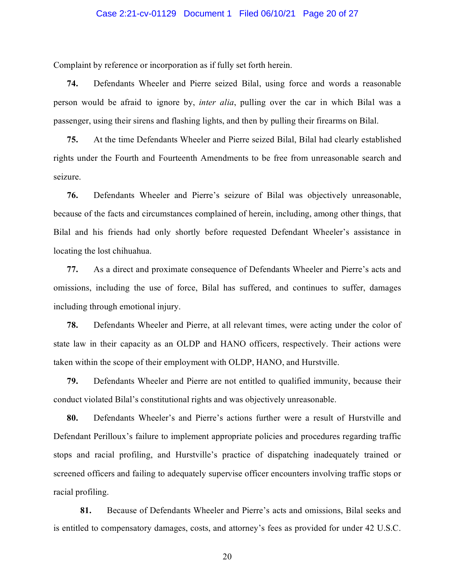#### Case 2:21-cv-01129 Document 1 Filed 06/10/21 Page 20 of 27

Complaint by reference or incorporation as if fully set forth herein.

**74.** Defendants Wheeler and Pierre seized Bilal, using force and words a reasonable person would be afraid to ignore by, *inter alia*, pulling over the car in which Bilal was a passenger, using their sirens and flashing lights, and then by pulling their firearms on Bilal.

**75.** At the time Defendants Wheeler and Pierre seized Bilal, Bilal had clearly established rights under the Fourth and Fourteenth Amendments to be free from unreasonable search and seizure.

**76.** Defendants Wheeler and Pierre's seizure of Bilal was objectively unreasonable, because of the facts and circumstances complained of herein, including, among other things, that Bilal and his friends had only shortly before requested Defendant Wheeler's assistance in locating the lost chihuahua.

**77.** As a direct and proximate consequence of Defendants Wheeler and Pierre's acts and omissions, including the use of force, Bilal has suffered, and continues to suffer, damages including through emotional injury.

**78.** Defendants Wheeler and Pierre, at all relevant times, were acting under the color of state law in their capacity as an OLDP and HANO officers, respectively. Their actions were taken within the scope of their employment with OLDP, HANO, and Hurstville.

**79.** Defendants Wheeler and Pierre are not entitled to qualified immunity, because their conduct violated Bilal's constitutional rights and was objectively unreasonable.

**80.** Defendants Wheeler's and Pierre's actions further were a result of Hurstville and Defendant Perilloux's failure to implement appropriate policies and procedures regarding traffic stops and racial profiling, and Hurstville's practice of dispatching inadequately trained or screened officers and failing to adequately supervise officer encounters involving traffic stops or racial profiling.

**81.** Because of Defendants Wheeler and Pierre's acts and omissions, Bilal seeks and is entitled to compensatory damages, costs, and attorney's fees as provided for under 42 U.S.C.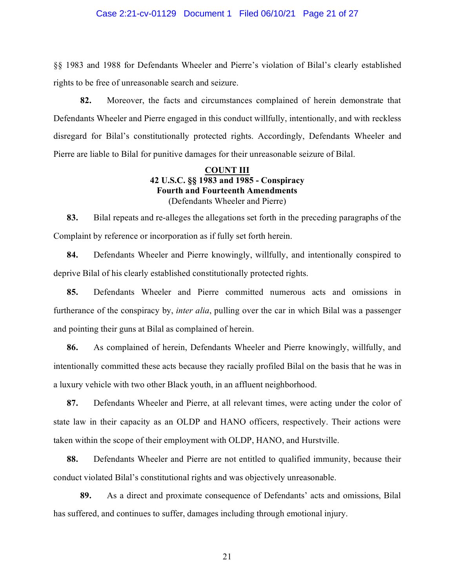#### Case 2:21-cv-01129 Document 1 Filed 06/10/21 Page 21 of 27

§§ 1983 and 1988 for Defendants Wheeler and Pierre's violation of Bilal's clearly established rights to be free of unreasonable search and seizure.

**82.** Moreover, the facts and circumstances complained of herein demonstrate that Defendants Wheeler and Pierre engaged in this conduct willfully, intentionally, and with reckless disregard for Bilal's constitutionally protected rights. Accordingly, Defendants Wheeler and Pierre are liable to Bilal for punitive damages for their unreasonable seizure of Bilal.

### **COUNT III 42 U.S.C. §§ 1983 and 1985 - Conspiracy Fourth and Fourteenth Amendments** (Defendants Wheeler and Pierre)

**83.** Bilal repeats and re-alleges the allegations set forth in the preceding paragraphs of the Complaint by reference or incorporation as if fully set forth herein.

**84.** Defendants Wheeler and Pierre knowingly, willfully, and intentionally conspired to deprive Bilal of his clearly established constitutionally protected rights.

**85.** Defendants Wheeler and Pierre committed numerous acts and omissions in furtherance of the conspiracy by, *inter alia*, pulling over the car in which Bilal was a passenger and pointing their guns at Bilal as complained of herein.

**86.** As complained of herein, Defendants Wheeler and Pierre knowingly, willfully, and intentionally committed these acts because they racially profiled Bilal on the basis that he was in a luxury vehicle with two other Black youth, in an affluent neighborhood.

**87.** Defendants Wheeler and Pierre, at all relevant times, were acting under the color of state law in their capacity as an OLDP and HANO officers, respectively. Their actions were taken within the scope of their employment with OLDP, HANO, and Hurstville.

**88.** Defendants Wheeler and Pierre are not entitled to qualified immunity, because their conduct violated Bilal's constitutional rights and was objectively unreasonable.

**89.** As a direct and proximate consequence of Defendants' acts and omissions, Bilal has suffered, and continues to suffer, damages including through emotional injury.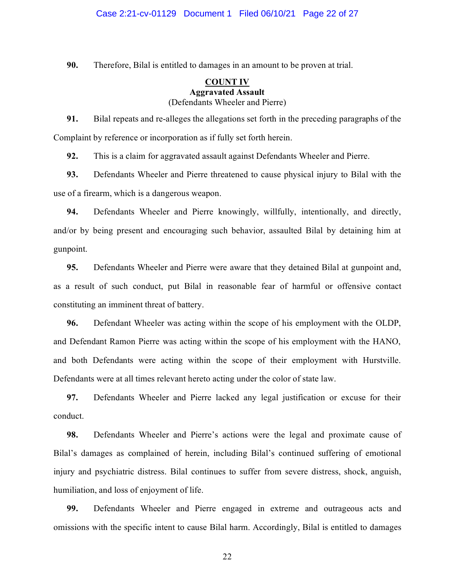**90.** Therefore, Bilal is entitled to damages in an amount to be proven at trial.

### **COUNT IV Aggravated Assault** (Defendants Wheeler and Pierre)

**91.** Bilal repeats and re-alleges the allegations set forth in the preceding paragraphs of the Complaint by reference or incorporation as if fully set forth herein.

**92.** This is a claim for aggravated assault against Defendants Wheeler and Pierre.

**93.** Defendants Wheeler and Pierre threatened to cause physical injury to Bilal with the use of a firearm, which is a dangerous weapon.

**94.** Defendants Wheeler and Pierre knowingly, willfully, intentionally, and directly, and/or by being present and encouraging such behavior, assaulted Bilal by detaining him at gunpoint.

**95.** Defendants Wheeler and Pierre were aware that they detained Bilal at gunpoint and, as a result of such conduct, put Bilal in reasonable fear of harmful or offensive contact constituting an imminent threat of battery.

**96.** Defendant Wheeler was acting within the scope of his employment with the OLDP, and Defendant Ramon Pierre was acting within the scope of his employment with the HANO, and both Defendants were acting within the scope of their employment with Hurstville. Defendants were at all times relevant hereto acting under the color of state law.

**97.** Defendants Wheeler and Pierre lacked any legal justification or excuse for their conduct.

**98.** Defendants Wheeler and Pierre's actions were the legal and proximate cause of Bilal's damages as complained of herein, including Bilal's continued suffering of emotional injury and psychiatric distress. Bilal continues to suffer from severe distress, shock, anguish, humiliation, and loss of enjoyment of life.

**99.** Defendants Wheeler and Pierre engaged in extreme and outrageous acts and omissions with the specific intent to cause Bilal harm. Accordingly, Bilal is entitled to damages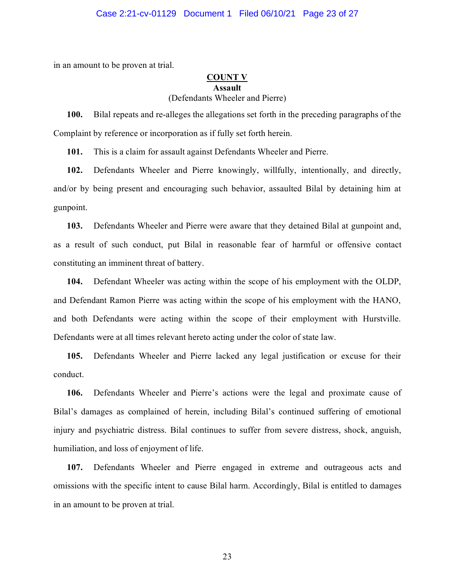#### Case 2:21-cv-01129 Document 1 Filed 06/10/21 Page 23 of 27

in an amount to be proven at trial.

#### **COUNT V Assault** (Defendants Wheeler and Pierre)

**100.** Bilal repeats and re-alleges the allegations set forth in the preceding paragraphs of the Complaint by reference or incorporation as if fully set forth herein.

**101.** This is a claim for assault against Defendants Wheeler and Pierre.

**102.** Defendants Wheeler and Pierre knowingly, willfully, intentionally, and directly, and/or by being present and encouraging such behavior, assaulted Bilal by detaining him at gunpoint.

**103.** Defendants Wheeler and Pierre were aware that they detained Bilal at gunpoint and, as a result of such conduct, put Bilal in reasonable fear of harmful or offensive contact constituting an imminent threat of battery.

**104.** Defendant Wheeler was acting within the scope of his employment with the OLDP, and Defendant Ramon Pierre was acting within the scope of his employment with the HANO, and both Defendants were acting within the scope of their employment with Hurstville. Defendants were at all times relevant hereto acting under the color of state law.

**105.** Defendants Wheeler and Pierre lacked any legal justification or excuse for their conduct.

**106.** Defendants Wheeler and Pierre's actions were the legal and proximate cause of Bilal's damages as complained of herein, including Bilal's continued suffering of emotional injury and psychiatric distress. Bilal continues to suffer from severe distress, shock, anguish, humiliation, and loss of enjoyment of life.

**107.** Defendants Wheeler and Pierre engaged in extreme and outrageous acts and omissions with the specific intent to cause Bilal harm. Accordingly, Bilal is entitled to damages in an amount to be proven at trial.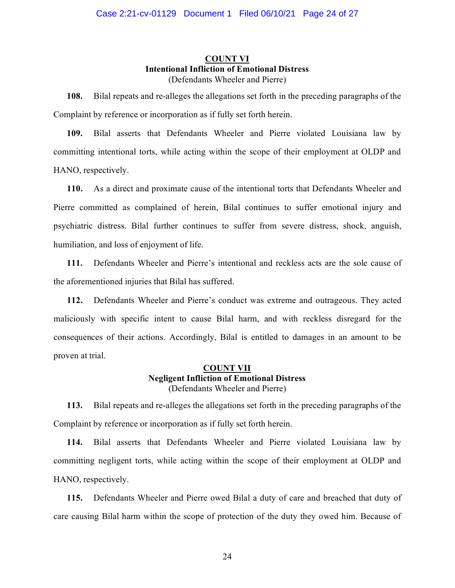# **COUNT VI Intentional Infliction of Emotional Distress** (Defendants Wheeler and Pierre)

**108.** Bilal repeats and re-alleges the allegations set forth in the preceding paragraphs of the Complaint by reference or incorporation as if fully set forth herein.

**109.** Bilal asserts that Defendants Wheeler and Pierre violated Louisiana law by committing intentional torts, while acting within the scope of their employment at OLDP and HANO, respectively.

**110.** As a direct and proximate cause of the intentional torts that Defendants Wheeler and Pierre committed as complained of herein, Bilal continues to suffer emotional injury and psychiatric distress. Bilal further continues to suffer from severe distress, shock, anguish, humiliation, and loss of enjoyment of life.

**111.** Defendants Wheeler and Pierre's intentional and reckless acts are the sole cause of the aforementioned injuries that Bilal has suffered.

**112.** Defendants Wheeler and Pierre's conduct was extreme and outrageous. They acted maliciously with specific intent to cause Bilal harm, and with reckless disregard for the consequences of their actions. Accordingly, Bilal is entitled to damages in an amount to be proven at trial.

# **COUNT VII Negligent Infliction of Emotional Distress** (Defendants Wheeler and Pierre)

**113.** Bilal repeats and re-alleges the allegations set forth in the preceding paragraphs of the Complaint by reference or incorporation as if fully set forth herein.

**114.** Bilal asserts that Defendants Wheeler and Pierre violated Louisiana law by committing negligent torts, while acting within the scope of their employment at OLDP and HANO, respectively.

**115.** Defendants Wheeler and Pierre owed Bilal a duty of care and breached that duty of care causing Bilal harm within the scope of protection of the duty they owed him. Because of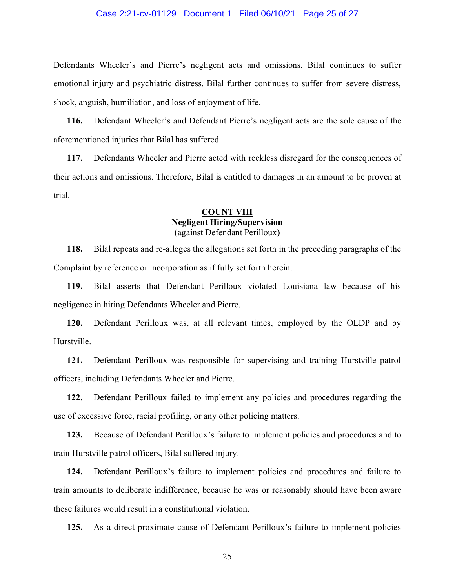#### Case 2:21-cv-01129 Document 1 Filed 06/10/21 Page 25 of 27

Defendants Wheeler's and Pierre's negligent acts and omissions, Bilal continues to suffer emotional injury and psychiatric distress. Bilal further continues to suffer from severe distress, shock, anguish, humiliation, and loss of enjoyment of life.

**116.** Defendant Wheeler's and Defendant Pierre's negligent acts are the sole cause of the aforementioned injuries that Bilal has suffered.

**117.** Defendants Wheeler and Pierre acted with reckless disregard for the consequences of their actions and omissions. Therefore, Bilal is entitled to damages in an amount to be proven at trial.

#### **COUNT VIII Negligent Hiring/Supervision** (against Defendant Perilloux)

**118.** Bilal repeats and re-alleges the allegations set forth in the preceding paragraphs of the Complaint by reference or incorporation as if fully set forth herein.

**119.** Bilal asserts that Defendant Perilloux violated Louisiana law because of his negligence in hiring Defendants Wheeler and Pierre.

**120.** Defendant Perilloux was, at all relevant times, employed by the OLDP and by Hurstville.

**121.** Defendant Perilloux was responsible for supervising and training Hurstville patrol officers, including Defendants Wheeler and Pierre.

**122.** Defendant Perilloux failed to implement any policies and procedures regarding the use of excessive force, racial profiling, or any other policing matters.

**123.** Because of Defendant Perilloux's failure to implement policies and procedures and to train Hurstville patrol officers, Bilal suffered injury.

**124.** Defendant Perilloux's failure to implement policies and procedures and failure to train amounts to deliberate indifference, because he was or reasonably should have been aware these failures would result in a constitutional violation.

**125.** As a direct proximate cause of Defendant Perilloux's failure to implement policies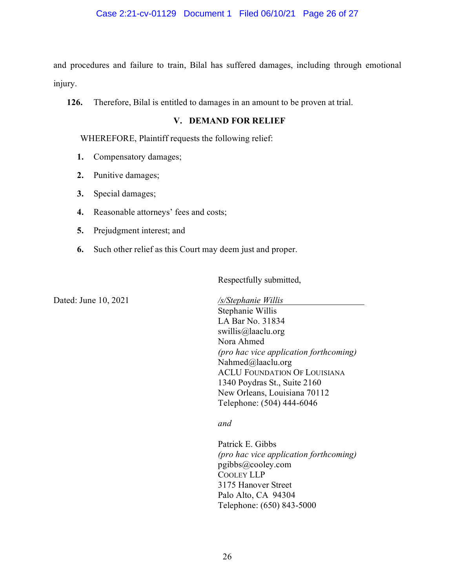and procedures and failure to train, Bilal has suffered damages, including through emotional injury.

**126.** Therefore, Bilal is entitled to damages in an amount to be proven at trial.

## **V. DEMAND FOR RELIEF**

WHEREFORE, Plaintiff requests the following relief:

- **1.** Compensatory damages;
- **2.** Punitive damages;
- **3.** Special damages;
- **4.** Reasonable attorneys' fees and costs;
- **5.** Prejudgment interest; and
- **6.** Such other relief as this Court may deem just and proper.

Respectfully submitted,

Dated: June 10, 2021

*/s/Stephanie Willis .* Stephanie Willis LA Bar No. 31834 swillis@laaclu.org Nora Ahmed *(pro hac vice application forthcoming)*  Nahmed@laaclu.org ACLU FOUNDATION OF LOUISIANA 1340 Poydras St., Suite 2160 New Orleans, Louisiana 70112 Telephone: (504) 444-6046

*and*

Patrick E. Gibbs *(pro hac vice application forthcoming)* pgibbs@cooley.com COOLEY LLP 3175 Hanover Street Palo Alto, CA 94304 Telephone: (650) 843-5000